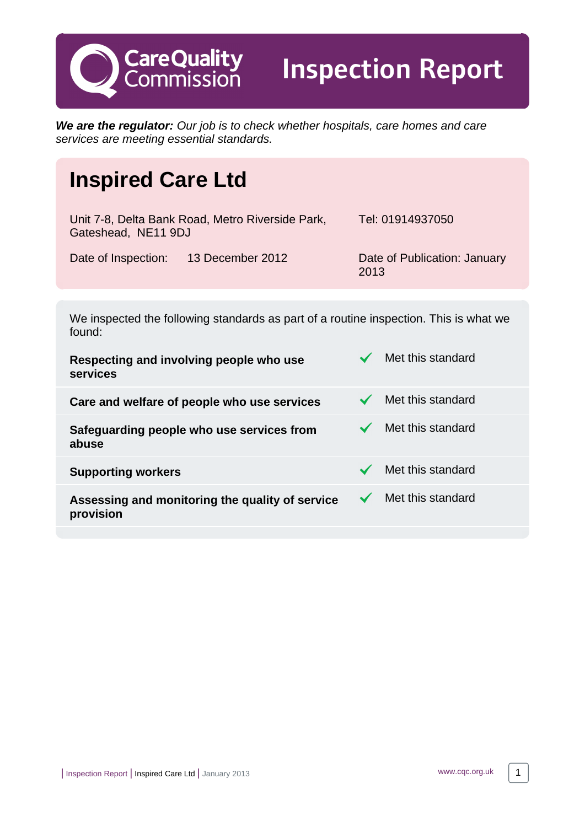**CareQuality**<br>Commission

Inspection Report

**We are the regulator:** Our job is to check whether hospitals, care homes and care services are meeting essential standards.

# **Inspired Care Ltd**

| Unit 7-8, Delta Bank Road, Metro Riverside Park,<br>Gateshead, NE11 9DJ |                  | Tel: 01914937050                     |
|-------------------------------------------------------------------------|------------------|--------------------------------------|
| Date of Inspection:                                                     | 13 December 2012 | Date of Publication: January<br>2013 |

We inspected the following standards as part of a routine inspection. This is what we found:

| Respecting and involving people who use<br>services          | Met this standard |
|--------------------------------------------------------------|-------------------|
| Care and welfare of people who use services                  | Met this standard |
| Safeguarding people who use services from<br>abuse           | Met this standard |
| <b>Supporting workers</b>                                    | Met this standard |
| Assessing and monitoring the quality of service<br>provision | Met this standard |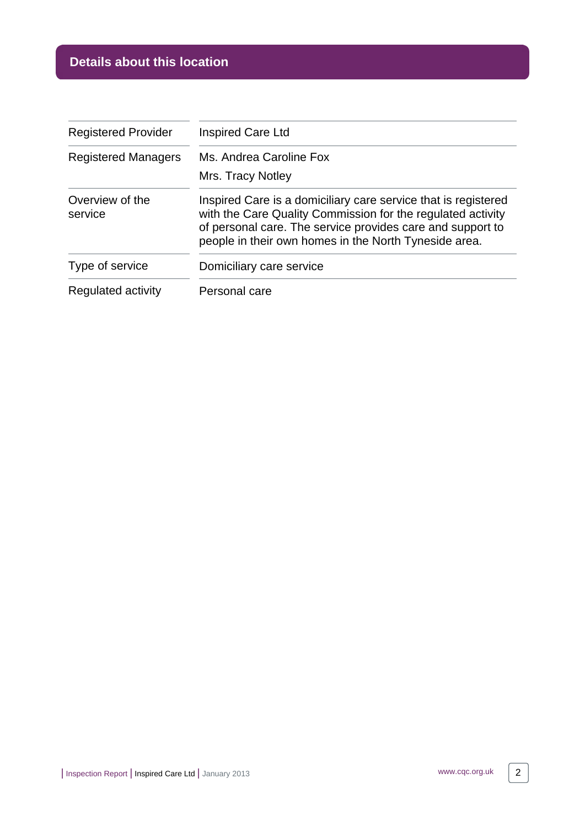# **Details about this location**

| <b>Registered Provider</b> | Inspired Care Ltd                                                                                                                                                                                                                                    |  |
|----------------------------|------------------------------------------------------------------------------------------------------------------------------------------------------------------------------------------------------------------------------------------------------|--|
| <b>Registered Managers</b> | Ms. Andrea Caroline Fox                                                                                                                                                                                                                              |  |
|                            | Mrs. Tracy Notley                                                                                                                                                                                                                                    |  |
| Overview of the<br>service | Inspired Care is a domiciliary care service that is registered<br>with the Care Quality Commission for the regulated activity<br>of personal care. The service provides care and support to<br>people in their own homes in the North Tyneside area. |  |
| Type of service            | Domiciliary care service                                                                                                                                                                                                                             |  |
| Regulated activity         | Personal care                                                                                                                                                                                                                                        |  |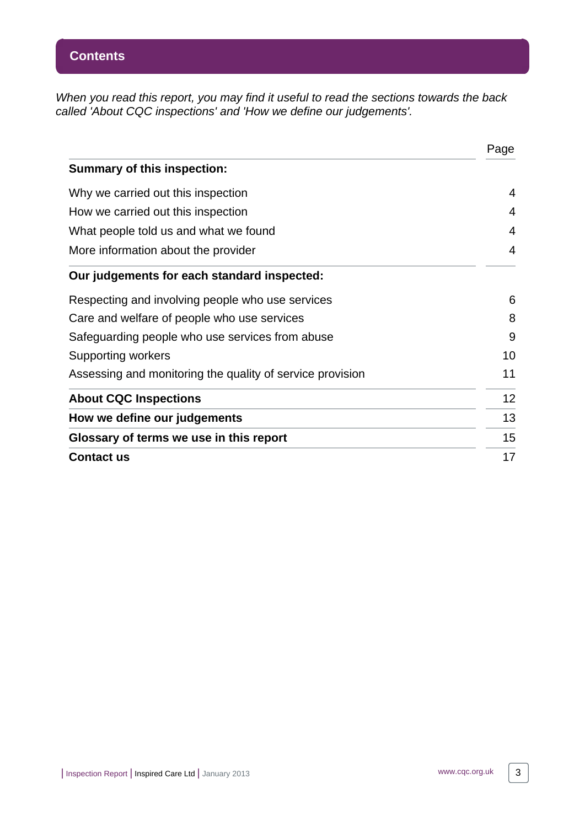When you read this report, you may find it useful to read the sections towards the back called 'About CQC inspections' and 'How we define our judgements'.

|                                                           | Page |
|-----------------------------------------------------------|------|
| <b>Summary of this inspection:</b>                        |      |
| Why we carried out this inspection                        | 4    |
| How we carried out this inspection                        | 4    |
| What people told us and what we found                     | 4    |
| More information about the provider                       | 4    |
| Our judgements for each standard inspected:               |      |
| Respecting and involving people who use services          | 6    |
| Care and welfare of people who use services               | 8    |
| Safeguarding people who use services from abuse           | 9    |
| <b>Supporting workers</b>                                 | 10   |
| Assessing and monitoring the quality of service provision | 11   |
| <b>About CQC Inspections</b>                              | 12   |
| How we define our judgements                              | 13   |
| Glossary of terms we use in this report                   | 15   |
| <b>Contact us</b>                                         | 17   |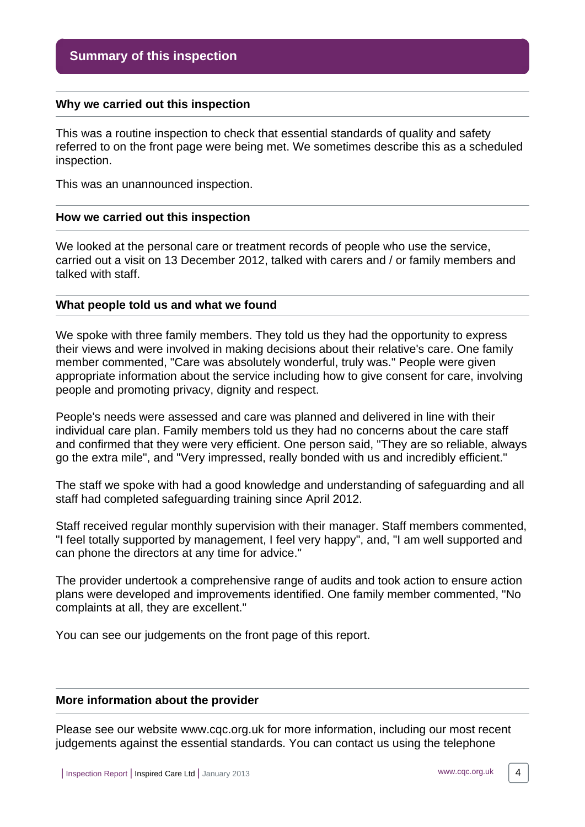#### <span id="page-3-0"></span>**Why we carried out this inspection**

This was a routine inspection to check that essential standards of quality and safety referred to on the front page were being met. We sometimes describe this as a scheduled inspection.

This was an unannounced inspection.

#### <span id="page-3-1"></span>**How we carried out this inspection**

We looked at the personal care or treatment records of people who use the service, carried out a visit on 13 December 2012, talked with carers and / or family members and talked with staff.

#### <span id="page-3-2"></span>**What people told us and what we found**

We spoke with three family members. They told us they had the opportunity to express their views and were involved in making decisions about their relative's care. One family member commented, "Care was absolutely wonderful, truly was." People were given appropriate information about the service including how to give consent for care, involving people and promoting privacy, dignity and respect.

People's needs were assessed and care was planned and delivered in line with their individual care plan. Family members told us they had no concerns about the care staff and confirmed that they were very efficient. One person said, "They are so reliable, always go the extra mile", and "Very impressed, really bonded with us and incredibly efficient."

The staff we spoke with had a good knowledge and understanding of safeguarding and all staff had completed safeguarding training since April 2012.

Staff received regular monthly supervision with their manager. Staff members commented, "I feel totally supported by management, I feel very happy", and, "I am well supported and can phone the directors at any time for advice."

The provider undertook a comprehensive range of audits and took action to ensure action plans were developed and improvements identified. One family member commented, "No complaints at all, they are excellent."

You can see our judgements on the front page of this report.

#### <span id="page-3-3"></span>**More information about the provider**

Please see our website www.cqc.org.uk for more information, including our most recent judgements against the essential standards. You can contact us using the telephone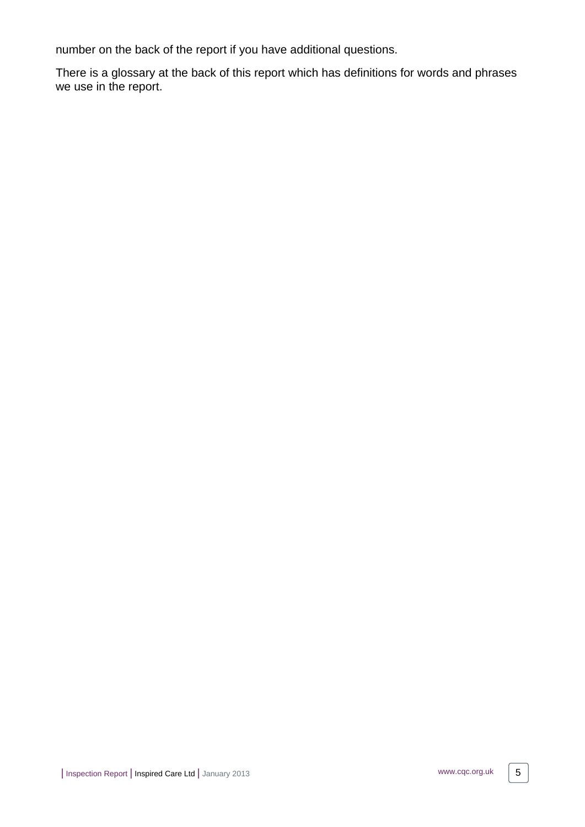number on the back of the report if you have additional questions.

There is a glossary at the back of this report which has definitions for words and phrases we use in the report.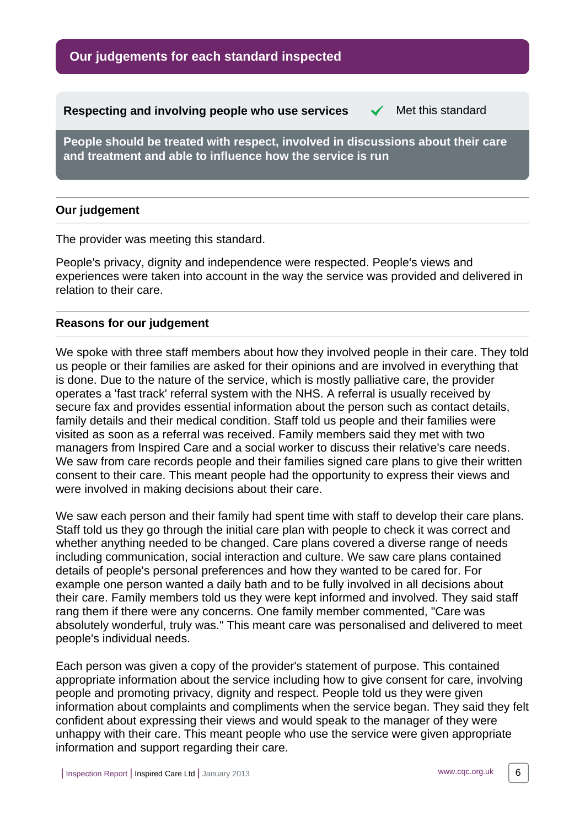**Our judgements for each standard inspected**

<span id="page-5-0"></span>**Respecting and involving people who use services**  $\checkmark$  **Met this standard** 

**People should be treated with respect, involved in discussions about their care and treatment and able to influence how the service is run**

# **Our judgement**

The provider was meeting this standard.

People's privacy, dignity and independence were respected. People's views and experiences were taken into account in the way the service was provided and delivered in relation to their care.

# **Reasons for our judgement**

We spoke with three staff members about how they involved people in their care. They told us people or their families are asked for their opinions and are involved in everything that is done. Due to the nature of the service, which is mostly palliative care, the provider operates a 'fast track' referral system with the NHS. A referral is usually received by secure fax and provides essential information about the person such as contact details, family details and their medical condition. Staff told us people and their families were visited as soon as a referral was received. Family members said they met with two managers from Inspired Care and a social worker to discuss their relative's care needs. We saw from care records people and their families signed care plans to give their written consent to their care. This meant people had the opportunity to express their views and were involved in making decisions about their care.

We saw each person and their family had spent time with staff to develop their care plans. Staff told us they go through the initial care plan with people to check it was correct and whether anything needed to be changed. Care plans covered a diverse range of needs including communication, social interaction and culture. We saw care plans contained details of people's personal preferences and how they wanted to be cared for. For example one person wanted a daily bath and to be fully involved in all decisions about their care. Family members told us they were kept informed and involved. They said staff rang them if there were any concerns. One family member commented, "Care was absolutely wonderful, truly was." This meant care was personalised and delivered to meet people's individual needs.

Each person was given a copy of the provider's statement of purpose. This contained appropriate information about the service including how to give consent for care, involving people and promoting privacy, dignity and respect. People told us they were given information about complaints and compliments when the service began. They said they felt confident about expressing their views and would speak to the manager of they were unhappy with their care. This meant people who use the service were given appropriate information and support regarding their care.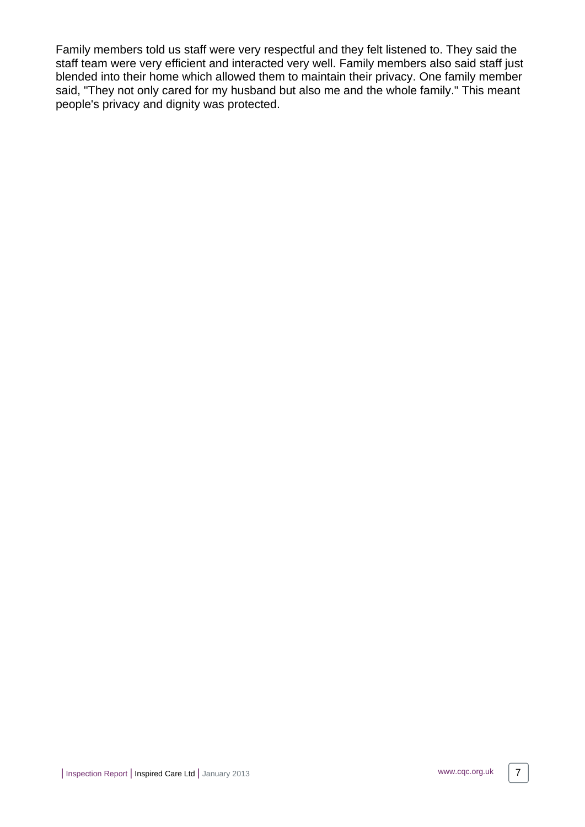Family members told us staff were very respectful and they felt listened to. They said the staff team were very efficient and interacted very well. Family members also said staff just blended into their home which allowed them to maintain their privacy. One family member said, "They not only cared for my husband but also me and the whole family." This meant people's privacy and dignity was protected.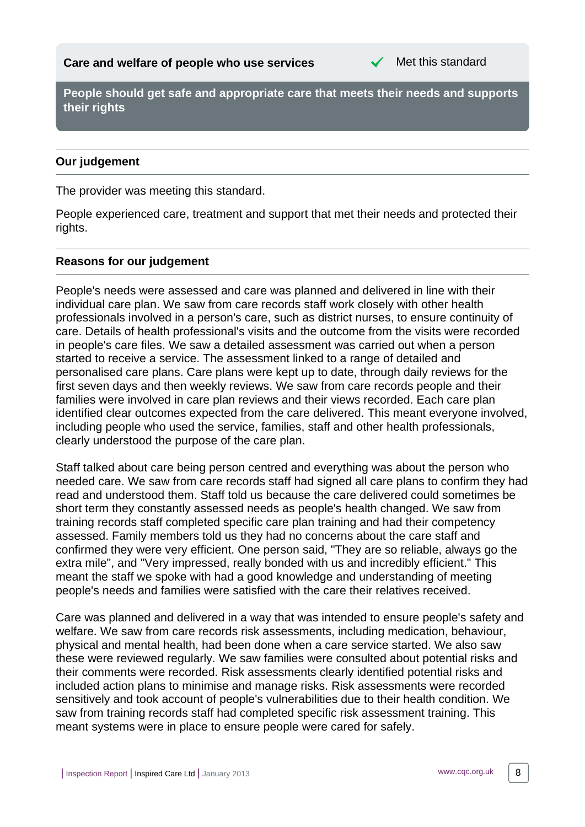

<span id="page-7-0"></span>**People should get safe and appropriate care that meets their needs and supports their rights**

# **Our judgement**

The provider was meeting this standard.

People experienced care, treatment and support that met their needs and protected their rights.

# **Reasons for our judgement**

People's needs were assessed and care was planned and delivered in line with their individual care plan. We saw from care records staff work closely with other health professionals involved in a person's care, such as district nurses, to ensure continuity of care. Details of health professional's visits and the outcome from the visits were recorded in people's care files. We saw a detailed assessment was carried out when a person started to receive a service. The assessment linked to a range of detailed and personalised care plans. Care plans were kept up to date, through daily reviews for the first seven days and then weekly reviews. We saw from care records people and their families were involved in care plan reviews and their views recorded. Each care plan identified clear outcomes expected from the care delivered. This meant everyone involved, including people who used the service, families, staff and other health professionals, clearly understood the purpose of the care plan.

Staff talked about care being person centred and everything was about the person who needed care. We saw from care records staff had signed all care plans to confirm they had read and understood them. Staff told us because the care delivered could sometimes be short term they constantly assessed needs as people's health changed. We saw from training records staff completed specific care plan training and had their competency assessed. Family members told us they had no concerns about the care staff and confirmed they were very efficient. One person said, "They are so reliable, always go the extra mile", and "Very impressed, really bonded with us and incredibly efficient." This meant the staff we spoke with had a good knowledge and understanding of meeting people's needs and families were satisfied with the care their relatives received.

Care was planned and delivered in a way that was intended to ensure people's safety and welfare. We saw from care records risk assessments, including medication, behaviour, physical and mental health, had been done when a care service started. We also saw these were reviewed regularly. We saw families were consulted about potential risks and their comments were recorded. Risk assessments clearly identified potential risks and included action plans to minimise and manage risks. Risk assessments were recorded sensitively and took account of people's vulnerabilities due to their health condition. We saw from training records staff had completed specific risk assessment training. This meant systems were in place to ensure people were cared for safely.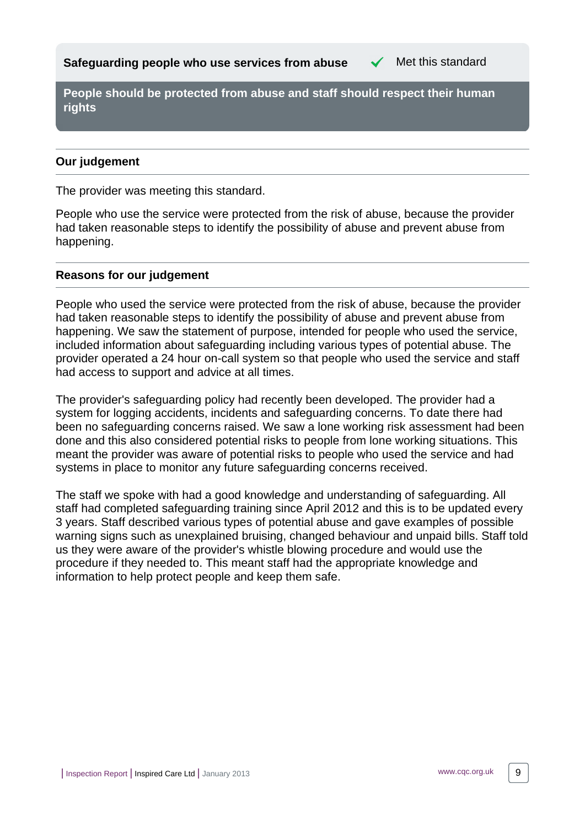<span id="page-8-0"></span>**Safeguarding people who use services from abuse**  $\checkmark$  **Met this standard** 

**People should be protected from abuse and staff should respect their human rights**

# **Our judgement**

The provider was meeting this standard.

People who use the service were protected from the risk of abuse, because the provider had taken reasonable steps to identify the possibility of abuse and prevent abuse from happening.

### **Reasons for our judgement**

People who used the service were protected from the risk of abuse, because the provider had taken reasonable steps to identify the possibility of abuse and prevent abuse from happening. We saw the statement of purpose, intended for people who used the service, included information about safeguarding including various types of potential abuse. The provider operated a 24 hour on-call system so that people who used the service and staff had access to support and advice at all times.

The provider's safeguarding policy had recently been developed. The provider had a system for logging accidents, incidents and safeguarding concerns. To date there had been no safeguarding concerns raised. We saw a lone working risk assessment had been done and this also considered potential risks to people from lone working situations. This meant the provider was aware of potential risks to people who used the service and had systems in place to monitor any future safeguarding concerns received.

The staff we spoke with had a good knowledge and understanding of safeguarding. All staff had completed safeguarding training since April 2012 and this is to be updated every 3 years. Staff described various types of potential abuse and gave examples of possible warning signs such as unexplained bruising, changed behaviour and unpaid bills. Staff told us they were aware of the provider's whistle blowing procedure and would use the procedure if they needed to. This meant staff had the appropriate knowledge and information to help protect people and keep them safe.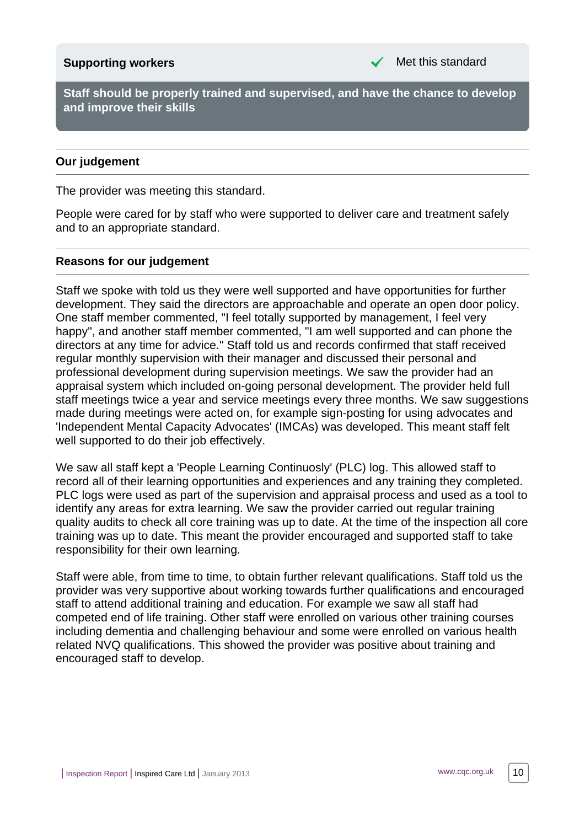# <span id="page-9-0"></span>**Supporting workers** Met this standard

**Staff should be properly trained and supervised, and have the chance to develop and improve their skills**

# **Our judgement**

The provider was meeting this standard.

People were cared for by staff who were supported to deliver care and treatment safely and to an appropriate standard.

#### **Reasons for our judgement**

Staff we spoke with told us they were well supported and have opportunities for further development. They said the directors are approachable and operate an open door policy. One staff member commented, "I feel totally supported by management, I feel very happy", and another staff member commented, "I am well supported and can phone the directors at any time for advice." Staff told us and records confirmed that staff received regular monthly supervision with their manager and discussed their personal and professional development during supervision meetings. We saw the provider had an appraisal system which included on-going personal development. The provider held full staff meetings twice a year and service meetings every three months. We saw suggestions made during meetings were acted on, for example sign-posting for using advocates and 'Independent Mental Capacity Advocates' (IMCAs) was developed. This meant staff felt well supported to do their job effectively.

We saw all staff kept a 'People Learning Continuosly' (PLC) log. This allowed staff to record all of their learning opportunities and experiences and any training they completed. PLC logs were used as part of the supervision and appraisal process and used as a tool to identify any areas for extra learning. We saw the provider carried out regular training quality audits to check all core training was up to date. At the time of the inspection all core training was up to date. This meant the provider encouraged and supported staff to take responsibility for their own learning.

Staff were able, from time to time, to obtain further relevant qualifications. Staff told us the provider was very supportive about working towards further qualifications and encouraged staff to attend additional training and education. For example we saw all staff had competed end of life training. Other staff were enrolled on various other training courses including dementia and challenging behaviour and some were enrolled on various health related NVQ qualifications. This showed the provider was positive about training and encouraged staff to develop.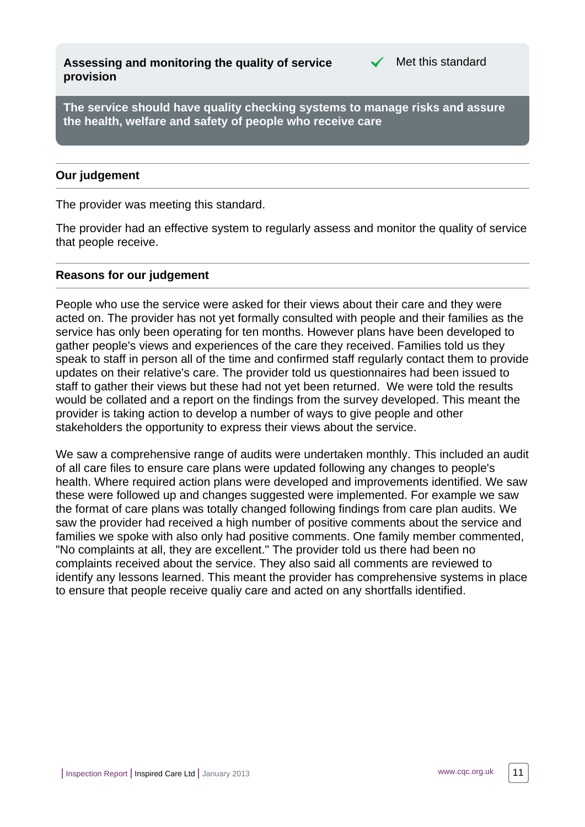<span id="page-10-0"></span>**Assessing and monitoring the quality of service provision**



**The service should have quality checking systems to manage risks and assure the health, welfare and safety of people who receive care**

# **Our judgement**

The provider was meeting this standard.

The provider had an effective system to regularly assess and monitor the quality of service that people receive.

#### **Reasons for our judgement**

People who use the service were asked for their views about their care and they were acted on. The provider has not yet formally consulted with people and their families as the service has only been operating for ten months. However plans have been developed to gather people's views and experiences of the care they received. Families told us they speak to staff in person all of the time and confirmed staff regularly contact them to provide updates on their relative's care. The provider told us questionnaires had been issued to staff to gather their views but these had not yet been returned. We were told the results would be collated and a report on the findings from the survey developed. This meant the provider is taking action to develop a number of ways to give people and other stakeholders the opportunity to express their views about the service.

We saw a comprehensive range of audits were undertaken monthly. This included an audit of all care files to ensure care plans were updated following any changes to people's health. Where required action plans were developed and improvements identified. We saw these were followed up and changes suggested were implemented. For example we saw the format of care plans was totally changed following findings from care plan audits. We saw the provider had received a high number of positive comments about the service and families we spoke with also only had positive comments. One family member commented, "No complaints at all, they are excellent." The provider told us there had been no complaints received about the service. They also said all comments are reviewed to identify any lessons learned. This meant the provider has comprehensive systems in place to ensure that people receive qualiy care and acted on any shortfalls identified.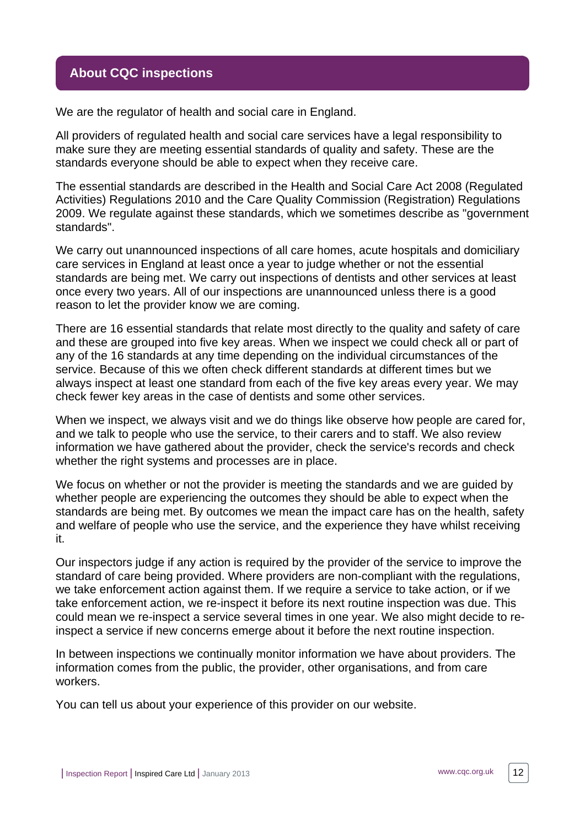# <span id="page-11-0"></span>**About CQC inspections**

We are the regulator of health and social care in England.

All providers of regulated health and social care services have a legal responsibility to make sure they are meeting essential standards of quality and safety. These are the standards everyone should be able to expect when they receive care.

The essential standards are described in the Health and Social Care Act 2008 (Regulated Activities) Regulations 2010 and the Care Quality Commission (Registration) Regulations 2009. We regulate against these standards, which we sometimes describe as "government standards".

We carry out unannounced inspections of all care homes, acute hospitals and domiciliary care services in England at least once a year to judge whether or not the essential standards are being met. We carry out inspections of dentists and other services at least once every two years. All of our inspections are unannounced unless there is a good reason to let the provider know we are coming.

There are 16 essential standards that relate most directly to the quality and safety of care and these are grouped into five key areas. When we inspect we could check all or part of any of the 16 standards at any time depending on the individual circumstances of the service. Because of this we often check different standards at different times but we always inspect at least one standard from each of the five key areas every year. We may check fewer key areas in the case of dentists and some other services.

When we inspect, we always visit and we do things like observe how people are cared for, and we talk to people who use the service, to their carers and to staff. We also review information we have gathered about the provider, check the service's records and check whether the right systems and processes are in place.

We focus on whether or not the provider is meeting the standards and we are guided by whether people are experiencing the outcomes they should be able to expect when the standards are being met. By outcomes we mean the impact care has on the health, safety and welfare of people who use the service, and the experience they have whilst receiving it.

Our inspectors judge if any action is required by the provider of the service to improve the standard of care being provided. Where providers are non-compliant with the regulations, we take enforcement action against them. If we require a service to take action, or if we take enforcement action, we re-inspect it before its next routine inspection was due. This could mean we re-inspect a service several times in one year. We also might decide to reinspect a service if new concerns emerge about it before the next routine inspection.

In between inspections we continually monitor information we have about providers. The information comes from the public, the provider, other organisations, and from care workers.

You can tell us about your experience of this provider on our website.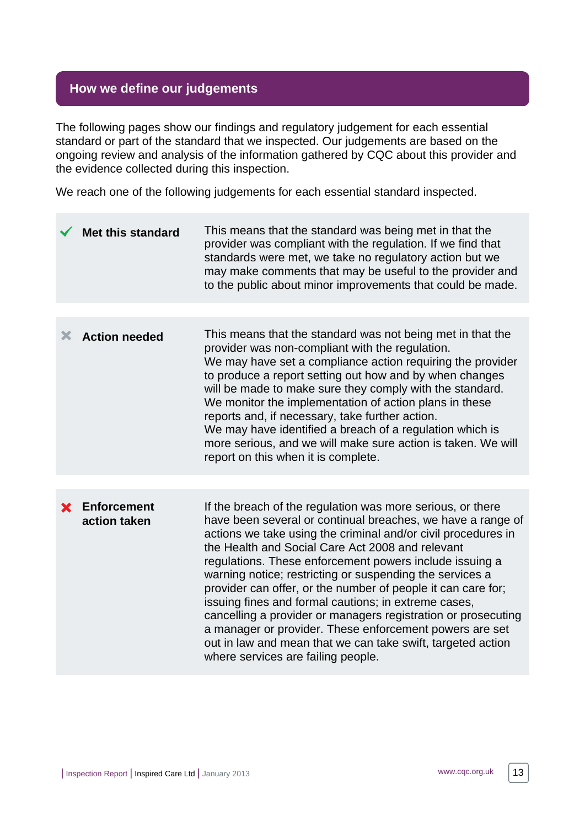# <span id="page-12-0"></span>**How we define our judgements**

The following pages show our findings and regulatory judgement for each essential standard or part of the standard that we inspected. Our judgements are based on the ongoing review and analysis of the information gathered by CQC about this provider and the evidence collected during this inspection.

We reach one of the following judgements for each essential standard inspected.

| <b>Met this standard</b>    | This means that the standard was being met in that the<br>provider was compliant with the regulation. If we find that<br>standards were met, we take no regulatory action but we<br>may make comments that may be useful to the provider and<br>to the public about minor improvements that could be made.                                                                                                                                                                                                                                                                                                                                                                                                                     |
|-----------------------------|--------------------------------------------------------------------------------------------------------------------------------------------------------------------------------------------------------------------------------------------------------------------------------------------------------------------------------------------------------------------------------------------------------------------------------------------------------------------------------------------------------------------------------------------------------------------------------------------------------------------------------------------------------------------------------------------------------------------------------|
|                             |                                                                                                                                                                                                                                                                                                                                                                                                                                                                                                                                                                                                                                                                                                                                |
| <b>Action needed</b>        | This means that the standard was not being met in that the<br>provider was non-compliant with the regulation.<br>We may have set a compliance action requiring the provider<br>to produce a report setting out how and by when changes<br>will be made to make sure they comply with the standard.<br>We monitor the implementation of action plans in these<br>reports and, if necessary, take further action.<br>We may have identified a breach of a regulation which is<br>more serious, and we will make sure action is taken. We will<br>report on this when it is complete.                                                                                                                                             |
|                             |                                                                                                                                                                                                                                                                                                                                                                                                                                                                                                                                                                                                                                                                                                                                |
| Enforcement<br>action taken | If the breach of the regulation was more serious, or there<br>have been several or continual breaches, we have a range of<br>actions we take using the criminal and/or civil procedures in<br>the Health and Social Care Act 2008 and relevant<br>regulations. These enforcement powers include issuing a<br>warning notice; restricting or suspending the services a<br>provider can offer, or the number of people it can care for;<br>issuing fines and formal cautions; in extreme cases,<br>cancelling a provider or managers registration or prosecuting<br>a manager or provider. These enforcement powers are set<br>out in law and mean that we can take swift, targeted action<br>where services are failing people. |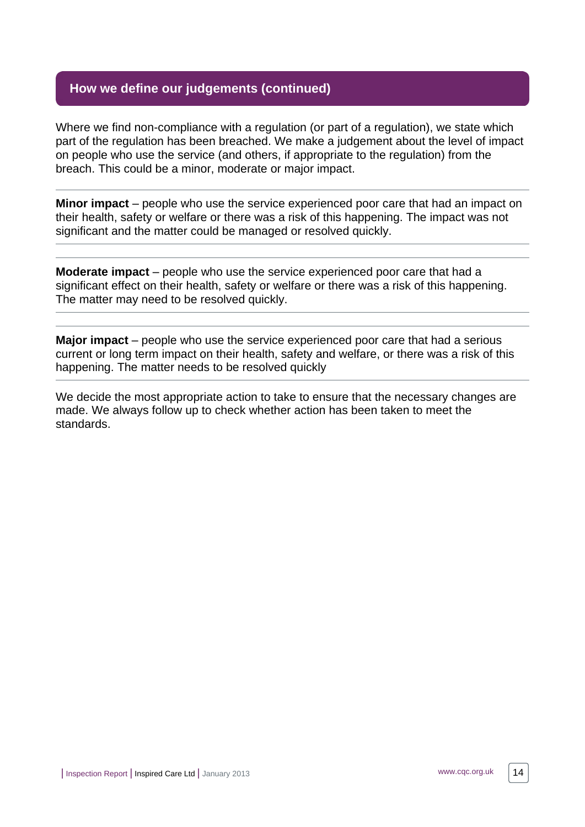# **How we define our judgements (continued)**

Where we find non-compliance with a regulation (or part of a regulation), we state which part of the regulation has been breached. We make a judgement about the level of impact on people who use the service (and others, if appropriate to the regulation) from the breach. This could be a minor, moderate or major impact.

**Minor impact** – people who use the service experienced poor care that had an impact on their health, safety or welfare or there was a risk of this happening. The impact was not significant and the matter could be managed or resolved quickly.

**Moderate impact** – people who use the service experienced poor care that had a significant effect on their health, safety or welfare or there was a risk of this happening. The matter may need to be resolved quickly.

**Major impact** – people who use the service experienced poor care that had a serious current or long term impact on their health, safety and welfare, or there was a risk of this happening. The matter needs to be resolved quickly

We decide the most appropriate action to take to ensure that the necessary changes are made. We always follow up to check whether action has been taken to meet the standards.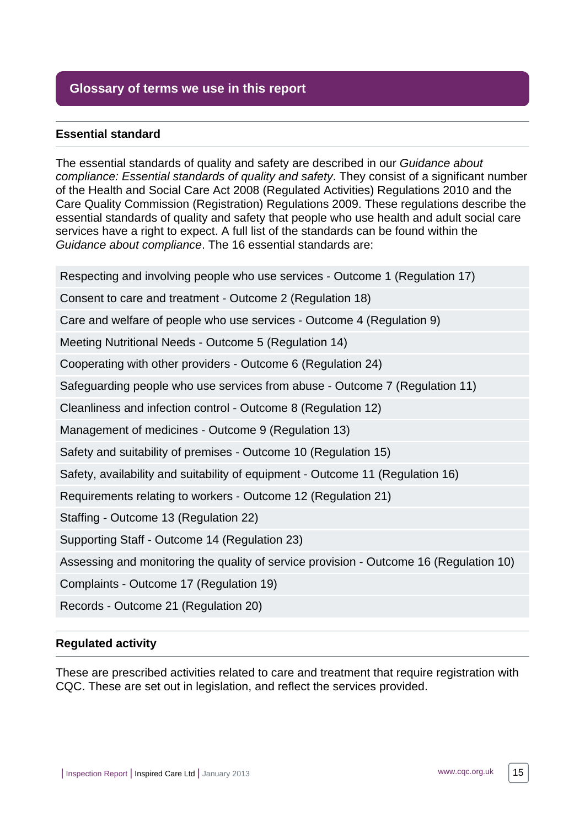# <span id="page-14-0"></span>**Glossary of terms we use in this report**

# **Essential standard**

The essential standards of quality and safety are described in our Guidance about compliance: Essential standards of quality and safety. They consist of a significant number of the Health and Social Care Act 2008 (Regulated Activities) Regulations 2010 and the Care Quality Commission (Registration) Regulations 2009. These regulations describe the essential standards of quality and safety that people who use health and adult social care services have a right to expect. A full list of the standards can be found within the Guidance about compliance. The 16 essential standards are:

Respecting and involving people who use services - Outcome 1 (Regulation 17)

Consent to care and treatment - Outcome 2 (Regulation 18)

Care and welfare of people who use services - Outcome 4 (Regulation 9)

Meeting Nutritional Needs - Outcome 5 (Regulation 14)

Cooperating with other providers - Outcome 6 (Regulation 24)

Safeguarding people who use services from abuse - Outcome 7 (Regulation 11)

Cleanliness and infection control - Outcome 8 (Regulation 12)

Management of medicines - Outcome 9 (Regulation 13)

Safety and suitability of premises - Outcome 10 (Regulation 15)

Safety, availability and suitability of equipment - Outcome 11 (Regulation 16)

Requirements relating to workers - Outcome 12 (Regulation 21)

Staffing - Outcome 13 (Regulation 22)

Supporting Staff - Outcome 14 (Regulation 23)

Assessing and monitoring the quality of service provision - Outcome 16 (Regulation 10)

Complaints - Outcome 17 (Regulation 19)

Records - Outcome 21 (Regulation 20)

#### **Regulated activity**

These are prescribed activities related to care and treatment that require registration with CQC. These are set out in legislation, and reflect the services provided.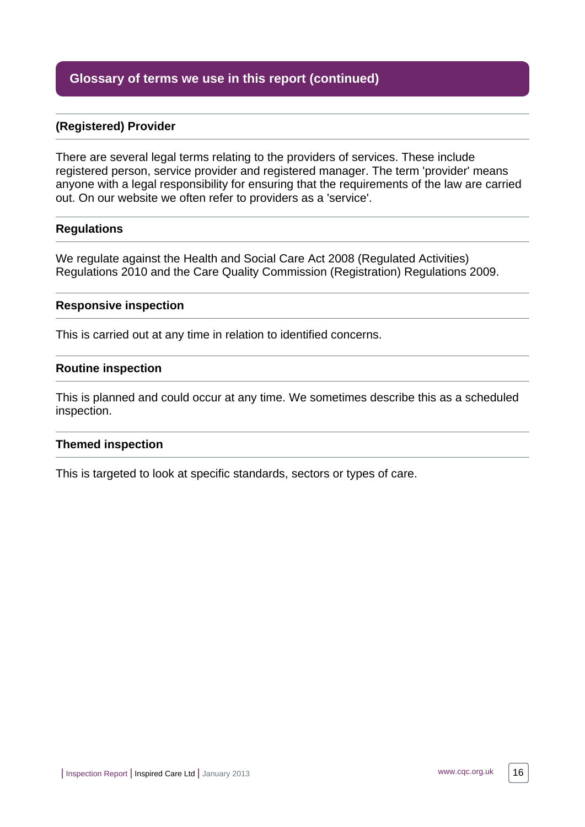# **Glossary of terms we use in this report (continued)**

# **(Registered) Provider**

There are several legal terms relating to the providers of services. These include registered person, service provider and registered manager. The term 'provider' means anyone with a legal responsibility for ensuring that the requirements of the law are carried out. On our website we often refer to providers as a 'service'.

#### **Regulations**

We regulate against the Health and Social Care Act 2008 (Regulated Activities) Regulations 2010 and the Care Quality Commission (Registration) Regulations 2009.

#### **Responsive inspection**

This is carried out at any time in relation to identified concerns.

#### **Routine inspection**

This is planned and could occur at any time. We sometimes describe this as a scheduled inspection.

#### **Themed inspection**

This is targeted to look at specific standards, sectors or types of care.